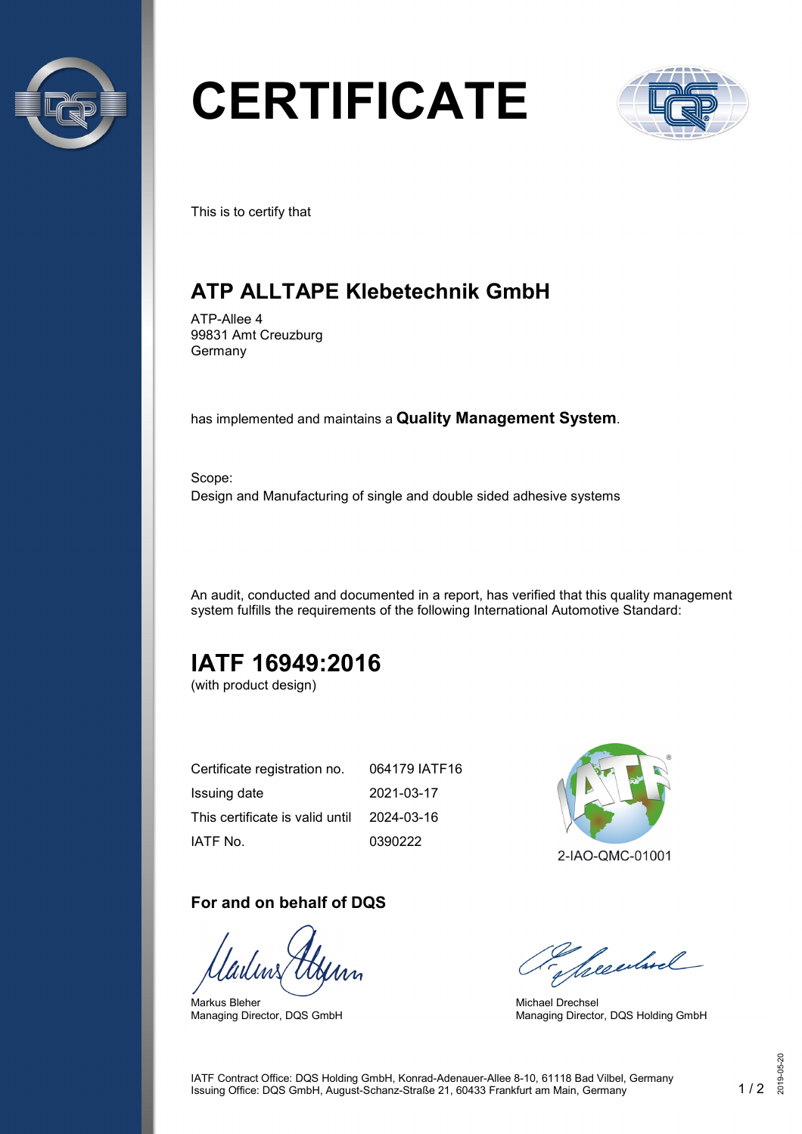

# **CERTIFICATE**



This is to certify that

## **ATP ALLTAPE Klebetechnik GmbH**

ATP-Allee 4 99831 Amt Creuzburg Germany

has implemented and maintains a **Quality Management System**.

Scope: Design and Manufacturing of single and double sided adhesive systems

An audit, conducted and documented in a report, has verified that this quality management system fulfills the requirements of the following International Automotive Standard:

## **IATF 16949:2016**

(with product design)

| Certificate registration no.    | 064179 IATF16 |
|---------------------------------|---------------|
| Issuing date                    | 2021-03-17    |
| This certificate is valid until | 2024-03-16    |
| IATF No.                        | 0390222       |

#### **For and on behalf of DQS**

Markus Bleher Managing Director, DQS GmbH



Seculard

Michael Drechsel Managing Director, DQS Holding GmbH

IATF Contract Office: DQS Holding GmbH, Konrad-Adenauer-Allee 8-10, 61118 Bad Vilbel, Germany Issuing Office: DQS GmbH, August-Schanz-Straße 21, 60433 Frankfurt am Main, Germany 1 / 2